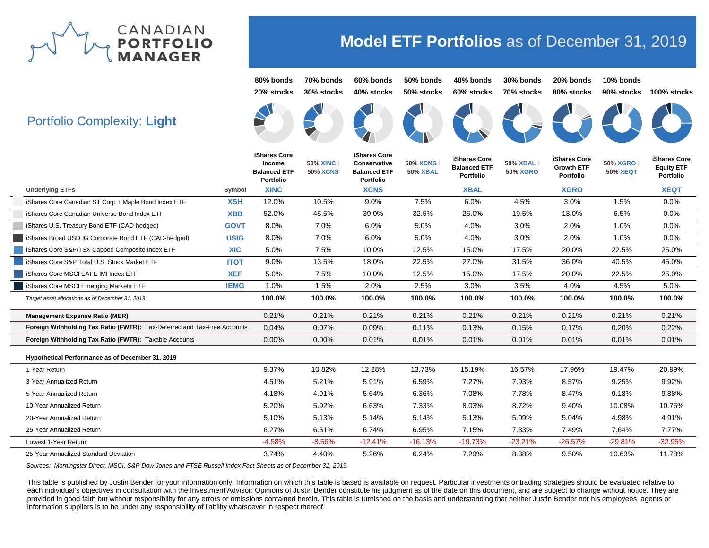

# **Portfolio (**

**Model ETF Portfolios** as of December 31, 2019

|                                                                          |             | 80% bonds<br>20% stocks                                           | 70% bonds<br>30% stocks            | 60% bonds<br>40% stocks                                                 | 50% bonds<br>50% stocks            | 40% bonds<br>60% stocks                          | 30% bonds<br>70% stocks     | 20% bonds<br>80% stocks                        | 10% bonds<br>90% stocks            | 100% stocks                                           |
|--------------------------------------------------------------------------|-------------|-------------------------------------------------------------------|------------------------------------|-------------------------------------------------------------------------|------------------------------------|--------------------------------------------------|-----------------------------|------------------------------------------------|------------------------------------|-------------------------------------------------------|
| <b>Portfolio Complexity: Light</b>                                       |             |                                                                   |                                    |                                                                         |                                    |                                                  |                             |                                                |                                    |                                                       |
|                                                                          |             | iShares Core<br>Income<br><b>Balanced ETF</b><br><b>Portfolio</b> | <b>50% XINC</b><br><b>50% XCNS</b> | iShares Core<br>Conservative<br><b>Balanced ETF</b><br><b>Portfolio</b> | <b>50% XCNS</b><br><b>50% XBAL</b> | iShares Core<br><b>Balanced ETF</b><br>Portfolio | 50% XBAL<br><b>50% XGRO</b> | iShares Core<br><b>Growth ETF</b><br>Portfolio | <b>50% XGRO</b><br><b>50% XEQT</b> | iShares Core<br><b>Equity ETF</b><br><b>Portfolio</b> |
| <b>Underlying ETFs</b>                                                   | Symbol      | <b>XINC</b>                                                       |                                    | <b>XCNS</b>                                                             |                                    | <b>XBAL</b>                                      |                             | <b>XGRO</b>                                    |                                    | <b>XEQT</b>                                           |
| iShares Core Canadian ST Corp + Maple Bond Index ETF                     | <b>XSH</b>  | 12.0%                                                             | 10.5%                              | 9.0%                                                                    | 7.5%                               | 6.0%                                             | 4.5%                        | 3.0%                                           | 1.5%                               | 0.0%                                                  |
| iShares Core Canadian Universe Bond Index ETF                            | <b>XBB</b>  | 52.0%                                                             | 45.5%                              | 39.0%                                                                   | 32.5%                              | 26.0%                                            | 19.5%                       | 13.0%                                          | 6.5%                               | 0.0%                                                  |
| iShares U.S. Treasury Bond ETF (CAD-hedged)                              | <b>GOVT</b> | 8.0%                                                              | 7.0%                               | 6.0%                                                                    | 5.0%                               | 4.0%                                             | 3.0%                        | 2.0%                                           | 1.0%                               | 0.0%                                                  |
| iShares Broad USD IG Corporate Bond ETF (CAD-hedged)                     | <b>USIG</b> | 8.0%                                                              | 7.0%                               | 6.0%                                                                    | 5.0%                               | 4.0%                                             | 3.0%                        | 2.0%                                           | 1.0%                               | 0.0%                                                  |
| iShares Core S&P/TSX Capped Composite Index ETF                          | <b>XIC</b>  | 5.0%                                                              | 7.5%                               | 10.0%                                                                   | 12.5%                              | 15.0%                                            | 17.5%                       | 20.0%                                          | 22.5%                              | 25.0%                                                 |
| iShares Core S&P Total U.S. Stock Market ETF                             | <b>ITOT</b> | 9.0%                                                              | 13.5%                              | 18.0%                                                                   | 22.5%                              | 27.0%                                            | 31.5%                       | 36.0%                                          | 40.5%                              | 45.0%                                                 |
| iShares Core MSCI EAFE IMI Index ETF                                     | <b>XEF</b>  | 5.0%                                                              | 7.5%                               | 10.0%                                                                   | 12.5%                              | 15.0%                                            | 17.5%                       | 20.0%                                          | 22.5%                              | 25.0%                                                 |
| iShares Core MSCI Emerging Markets ETF                                   | <b>IEMG</b> | 1.0%                                                              | 1.5%                               | 2.0%                                                                    | 2.5%                               | 3.0%                                             | 3.5%                        | 4.0%                                           | 4.5%                               | 5.0%                                                  |
| Target asset allocations as of December 31, 2019                         |             | 100.0%                                                            | 100.0%                             | 100.0%                                                                  | 100.0%                             | 100.0%                                           | 100.0%                      | 100.0%                                         | 100.0%                             | 100.0%                                                |
| <b>Management Expense Ratio (MER)</b>                                    |             | 0.21%                                                             | 0.21%                              | 0.21%                                                                   | 0.21%                              | 0.21%                                            | 0.21%                       | 0.21%                                          | 0.21%                              | 0.21%                                                 |
| Foreign Withholding Tax Ratio (FWTR): Tax-Deferred and Tax-Free Accounts |             | 0.04%                                                             | 0.07%                              | 0.09%                                                                   | 0.11%                              | 0.13%                                            | 0.15%                       | 0.17%                                          | 0.20%                              | 0.22%                                                 |
| Foreign Withholding Tax Ratio (FWTR): Taxable Accounts                   |             | 0.00%                                                             | 0.00%                              | 0.01%                                                                   | 0.01%                              | 0.01%                                            | 0.01%                       | 0.01%                                          | 0.01%                              | 0.01%                                                 |
| Hypothetical Performance as of December 31, 2019                         |             |                                                                   |                                    |                                                                         |                                    |                                                  |                             |                                                |                                    |                                                       |
| 1-Year Return                                                            |             | 9.37%                                                             | 10.82%                             | 12.28%                                                                  | 13.73%                             | 15.19%                                           | 16.57%                      | 17.96%                                         | 19.47%                             | 20.99%                                                |
| 3-Year Annualized Return                                                 |             | 4.51%                                                             | 5.21%                              | 5.91%                                                                   | 6.59%                              | 7.27%                                            | 7.93%                       | 8.57%                                          | 9.25%                              | 9.92%                                                 |
| 5-Year Annualized Return                                                 |             | 4.18%                                                             | 4.91%                              | 5.64%                                                                   | 6.36%                              | 7.08%                                            | 7.78%                       | 8.47%                                          | 9.18%                              | 9.88%                                                 |
| 10-Year Annualized Return                                                |             | 5.20%                                                             | 5.92%                              | 6.63%                                                                   | 7.33%                              | 8.03%                                            | 8.72%                       | 9.40%                                          | 10.08%                             | 10.76%                                                |
| 20-Year Annualized Return                                                |             | 5.10%                                                             | 5.13%                              | 5.14%                                                                   | 5.14%                              | 5.13%                                            | 5.09%                       | 5.04%                                          | 4.98%                              | 4.91%                                                 |
| 25-Year Annualized Return                                                |             | 6.27%                                                             | 6.51%                              | 6.74%                                                                   | 6.95%                              | 7.15%                                            | 7.33%                       | 7.49%                                          | 7.64%                              | 7.77%                                                 |
| Lowest 1-Year Return                                                     |             | $-4.58%$                                                          | $-8.56%$                           | $-12.41%$                                                               | $-16.13%$                          | $-19.73%$                                        | $-23.21%$                   | $-26.57%$                                      | $-29.81%$                          | $-32.95%$                                             |
| 25-Year Annualized Standard Deviation                                    |             | 3.74%                                                             | 4.40%                              | 5.26%                                                                   | 6.24%                              | 7.29%                                            | 8.38%                       | 9.50%                                          | 10.63%                             | 11.78%                                                |

*Sources: Morningstar Direct, MSCI, S&P Dow Jones and FTSE Russell Index Fact Sheets as of December 31, 2019.*

This table is published by Justin Bender for your information only. Information on which this table is based is available on request. Particular investments or trading strategies should be evaluated relative to each individual's objectives in consultation with the Investment Advisor. Opinions of Justin Bender constitute his judgment as of the date on this document, and are subject to change without notice. They are provided in good faith but without responsibility for any errors or omissions contained herein. This table is furnished on the basis and understanding that neither Justin Bender nor his employees, agents or information suppliers is to be under any responsibility of liability whatsoever in respect thereof.